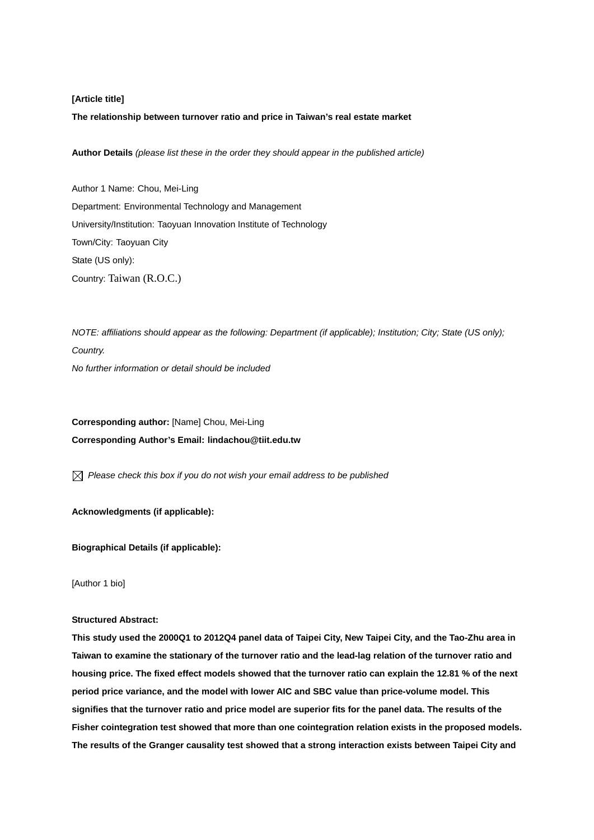#### **[Article title]**

#### **The relationship between turnover ratio and price in Taiwan's real estate market**

**Author Details** *(please list these in the order they should appear in the published article)*

Author 1 Name: Chou, Mei-Ling Department: Environmental Technology and Management University/Institution: Taoyuan Innovation Institute of Technology Town/City: Taoyuan City State (US only): Country: Taiwan (R.O.C.)

*NOTE: affiliations should appear as the following: Department (if applicable); Institution; City; State (US only); Country. No further information or detail should be included* 

**Corresponding author:** [Name] Chou, Mei-Ling **Corresponding Author's Email: lindachou@tiit.edu.tw** 

*Please check this box if you do not wish your email address to be published* 

**Acknowledgments (if applicable):** 

**Biographical Details (if applicable):** 

[Author 1 bio]

#### **Structured Abstract:**

**This study used the 2000Q1 to 2012Q4 panel data of Taipei City, New Taipei City, and the Tao-Zhu area in Taiwan to examine the stationary of the turnover ratio and the lead-lag relation of the turnover ratio and housing price. The fixed effect models showed that the turnover ratio can explain the 12.81 % of the next period price variance, and the model with lower AIC and SBC value than price-volume model. This signifies that the turnover ratio and price model are superior fits for the panel data. The results of the Fisher cointegration test showed that more than one cointegration relation exists in the proposed models. The results of the Granger causality test showed that a strong interaction exists between Taipei City and**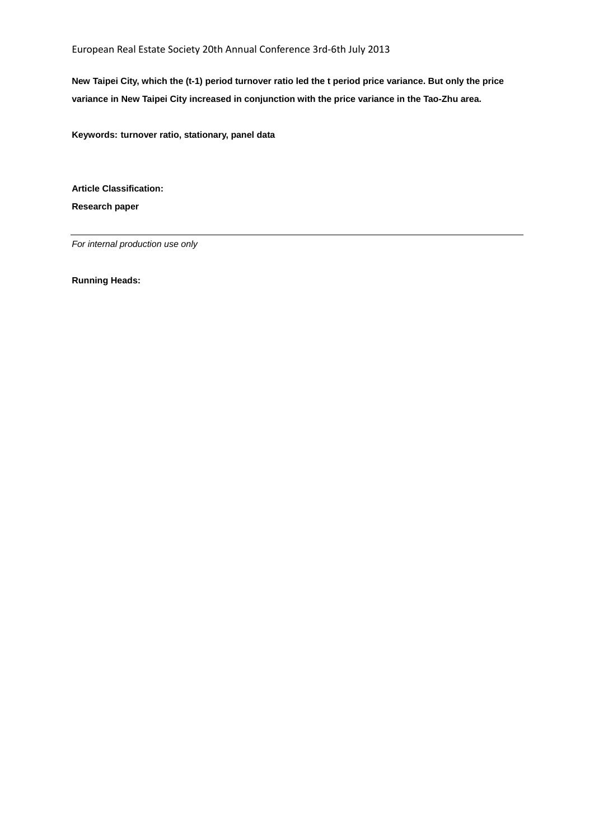European Real Estate Society 20th Annual Conference 3rd‐6th July 2013

**New Taipei City, which the (t-1) period turnover ratio led the t period price variance. But only the price variance in New Taipei City increased in conjunction with the price variance in the Tao-Zhu area.** 

**Keywords: turnover ratio, stationary, panel data** 

**Article Classification: Research paper** 

*For internal production use only* 

**Running Heads:**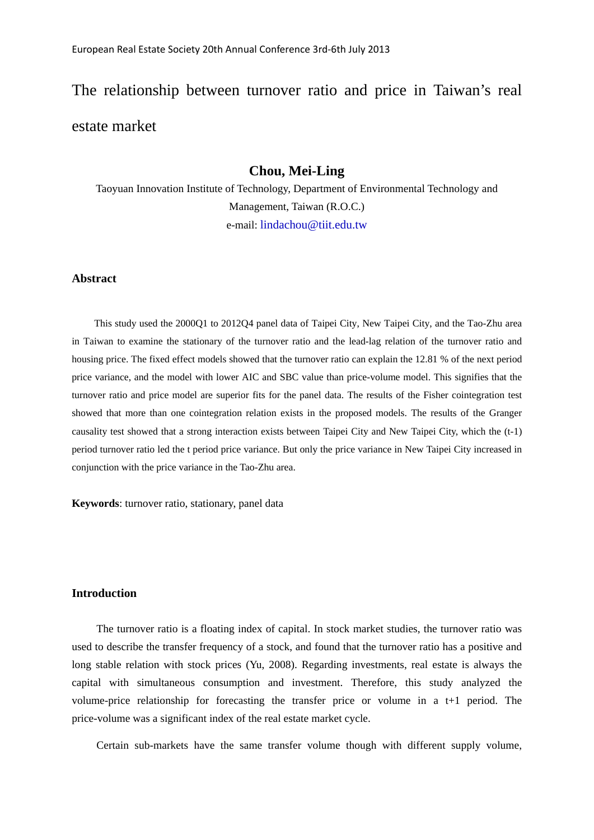# The relationship between turnover ratio and price in Taiwan's real estate market

# **Chou, Mei-Ling**

Taoyuan Innovation Institute of Technology, Department of Environmental Technology and Management, Taiwan (R.O.C.) e-mail: lindachou@tiit.edu.tw

# **Abstract**

This study used the 2000Q1 to 2012Q4 panel data of Taipei City, New Taipei City, and the Tao-Zhu area in Taiwan to examine the stationary of the turnover ratio and the lead-lag relation of the turnover ratio and housing price. The fixed effect models showed that the turnover ratio can explain the 12.81 % of the next period price variance, and the model with lower AIC and SBC value than price-volume model. This signifies that the turnover ratio and price model are superior fits for the panel data. The results of the Fisher cointegration test showed that more than one cointegration relation exists in the proposed models. The results of the Granger causality test showed that a strong interaction exists between Taipei City and New Taipei City, which the (t-1) period turnover ratio led the t period price variance. But only the price variance in New Taipei City increased in conjunction with the price variance in the Tao-Zhu area.

**Keywords**: turnover ratio, stationary, panel data

#### **Introduction**

The turnover ratio is a floating index of capital. In stock market studies, the turnover ratio was used to describe the transfer frequency of a stock, and found that the turnover ratio has a positive and long stable relation with stock prices (Yu, 2008). Regarding investments, real estate is always the capital with simultaneous consumption and investment. Therefore, this study analyzed the volume-price relationship for forecasting the transfer price or volume in a t+1 period. The price-volume was a significant index of the real estate market cycle.

Certain sub-markets have the same transfer volume though with different supply volume,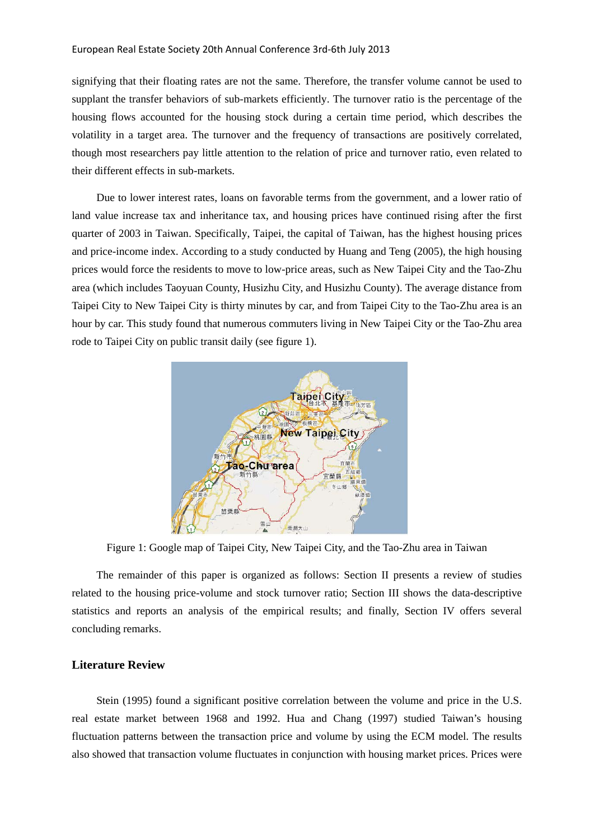signifying that their floating rates are not the same. Therefore, the transfer volume cannot be used to supplant the transfer behaviors of sub-markets efficiently. The turnover ratio is the percentage of the housing flows accounted for the housing stock during a certain time period, which describes the volatility in a target area. The turnover and the frequency of transactions are positively correlated, though most researchers pay little attention to the relation of price and turnover ratio, even related to their different effects in sub-markets.

Due to lower interest rates, loans on favorable terms from the government, and a lower ratio of land value increase tax and inheritance tax, and housing prices have continued rising after the first quarter of 2003 in Taiwan. Specifically, Taipei, the capital of Taiwan, has the highest housing prices and price-income index. According to a study conducted by Huang and Teng (2005), the high housing prices would force the residents to move to low-price areas, such as New Taipei City and the Tao-Zhu area (which includes Taoyuan County, Husizhu City, and Husizhu County). The average distance from Taipei City to New Taipei City is thirty minutes by car, and from Taipei City to the Tao-Zhu area is an hour by car. This study found that numerous commuters living in New Taipei City or the Tao-Zhu area rode to Taipei City on public transit daily (see figure 1).



Figure 1: Google map of Taipei City, New Taipei City, and the Tao-Zhu area in Taiwan

The remainder of this paper is organized as follows: Section II presents a review of studies related to the housing price-volume and stock turnover ratio; Section III shows the data-descriptive statistics and reports an analysis of the empirical results; and finally, Section IV offers several concluding remarks.

# **Literature Review**

Stein (1995) found a significant positive correlation between the volume and price in the U.S. real estate market between 1968 and 1992. Hua and Chang (1997) studied Taiwan's housing fluctuation patterns between the transaction price and volume by using the ECM model. The results also showed that transaction volume fluctuates in conjunction with housing market prices. Prices were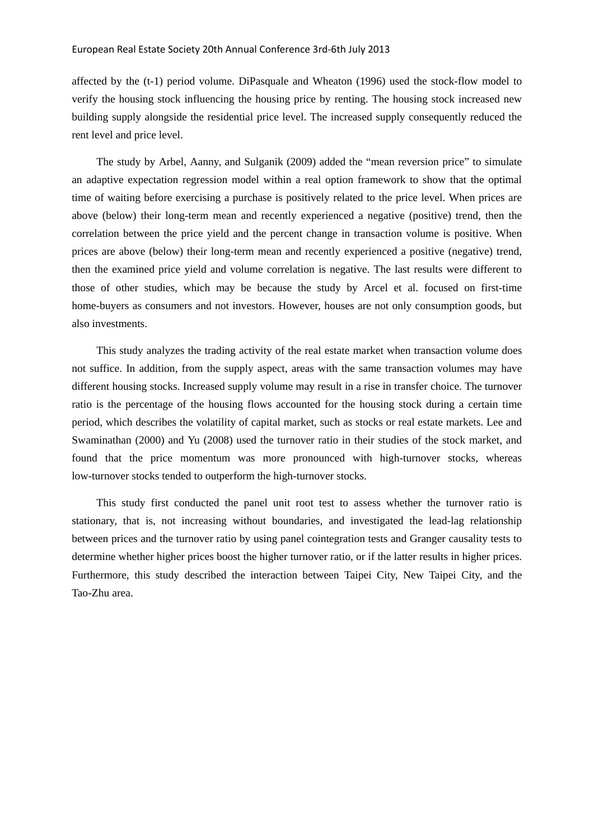affected by the (t-1) period volume. DiPasquale and Wheaton (1996) used the stock-flow model to verify the housing stock influencing the housing price by renting. The housing stock increased new building supply alongside the residential price level. The increased supply consequently reduced the rent level and price level.

The study by Arbel, Aanny, and Sulganik (2009) added the "mean reversion price" to simulate an adaptive expectation regression model within a real option framework to show that the optimal time of waiting before exercising a purchase is positively related to the price level. When prices are above (below) their long-term mean and recently experienced a negative (positive) trend, then the correlation between the price yield and the percent change in transaction volume is positive. When prices are above (below) their long-term mean and recently experienced a positive (negative) trend, then the examined price yield and volume correlation is negative. The last results were different to those of other studies, which may be because the study by Arcel et al. focused on first-time home-buyers as consumers and not investors. However, houses are not only consumption goods, but also investments.

This study analyzes the trading activity of the real estate market when transaction volume does not suffice. In addition, from the supply aspect, areas with the same transaction volumes may have different housing stocks. Increased supply volume may result in a rise in transfer choice. The turnover ratio is the percentage of the housing flows accounted for the housing stock during a certain time period, which describes the volatility of capital market, such as stocks or real estate markets. Lee and Swaminathan (2000) and Yu (2008) used the turnover ratio in their studies of the stock market, and found that the price momentum was more pronounced with high-turnover stocks, whereas low-turnover stocks tended to outperform the high-turnover stocks.

This study first conducted the panel unit root test to assess whether the turnover ratio is stationary, that is, not increasing without boundaries, and investigated the lead-lag relationship between prices and the turnover ratio by using panel cointegration tests and Granger causality tests to determine whether higher prices boost the higher turnover ratio, or if the latter results in higher prices. Furthermore, this study described the interaction between Taipei City, New Taipei City, and the Tao-Zhu area.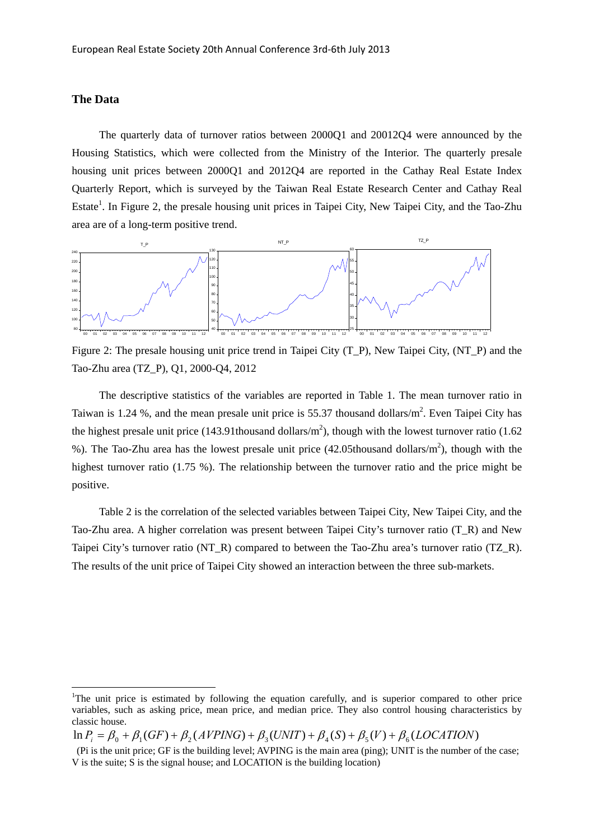## **The Data**

<u>.</u>

The quarterly data of turnover ratios between 2000Q1 and 20012Q4 were announced by the Housing Statistics, which were collected from the Ministry of the Interior. The quarterly presale housing unit prices between 2000Q1 and 2012Q4 are reported in the Cathay Real Estate Index Quarterly Report, which is surveyed by the Taiwan Real Estate Research Center and Cathay Real Estate<sup>1</sup>. In Figure 2, the presale housing unit prices in Taipei City, New Taipei City, and the Tao-Zhu area are of a long-term positive trend.



Figure 2: The presale housing unit price trend in Taipei City (T\_P), New Taipei City, (NT\_P) and the Tao-Zhu area (TZ\_P), Q1, 2000-Q4, 2012

The descriptive statistics of the variables are reported in Table 1. The mean turnover ratio in Taiwan is 1.24 %, and the mean presale unit price is 55.37 thousand dollars/ $m^2$ . Even Taipei City has the highest presale unit price (143.91thousand dollars/ $m<sup>2</sup>$ ), though with the lowest turnover ratio (1.62) %). The Tao-Zhu area has the lowest presale unit price  $(42.05$ thousand dollars/m<sup>2</sup>), though with the highest turnover ratio (1.75 %). The relationship between the turnover ratio and the price might be positive.

Table 2 is the correlation of the selected variables between Taipei City, New Taipei City, and the Tao-Zhu area. A higher correlation was present between Taipei City's turnover ratio (T\_R) and New Taipei City's turnover ratio (NT\_R) compared to between the Tao-Zhu area's turnover ratio (TZ\_R). The results of the unit price of Taipei City showed an interaction between the three sub-markets.

<sup>&</sup>lt;sup>1</sup>The unit price is estimated by following the equation carefully, and is superior compared to other price variables, such as asking price, mean price, and median price. They also control housing characteristics by classic house.

 $\ln P_i = \beta_0 + \beta_1 (GF) + \beta_2 (AVPING) + \beta_3 (UNIT) + \beta_4 (S) + \beta_5 (V) + \beta_6 (LOCALION)$ 

 <sup>(</sup>Pi is the unit price; GF is the building level; AVPING is the main area (ping); UNIT is the number of the case; V is the suite; S is the signal house; and LOCATION is the building location)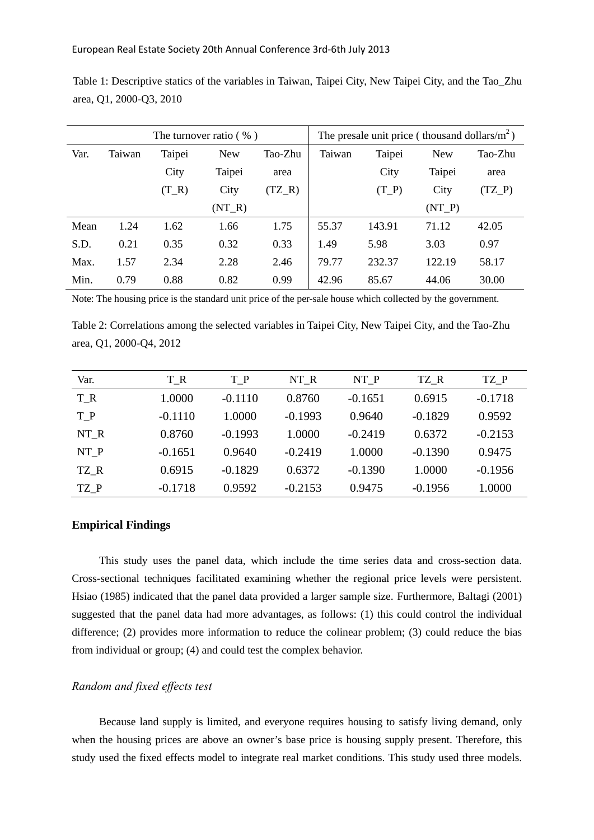|      |        |         | The turnover ratio $(\% )$ | The presale unit price (thousand dollars/ $m^2$ ) |        |         |            |          |
|------|--------|---------|----------------------------|---------------------------------------------------|--------|---------|------------|----------|
| Var. | Taiwan | Taipei  | <b>New</b>                 | Tao-Zhu                                           | Taiwan | Taipei  | <b>New</b> | Tao-Zhu  |
|      |        | City    | Taipei                     | area                                              |        | City    | Taipei     | area     |
|      |        | $(T_R)$ | City                       | $(TZ_R)$                                          |        | $(T_P)$ | City       | $(TZ_P)$ |
|      |        |         | $(NT_R)$                   |                                                   |        |         | $(NT_P)$   |          |
| Mean | 1.24   | 1.62    | 1.66                       | 1.75                                              | 55.37  | 143.91  | 71.12      | 42.05    |
| S.D. | 0.21   | 0.35    | 0.32                       | 0.33                                              | 1.49   | 5.98    | 3.03       | 0.97     |
| Max. | 1.57   | 2.34    | 2.28                       | 2.46                                              | 79.77  | 232.37  | 122.19     | 58.17    |
| Min. | 0.79   | 0.88    | 0.82                       | 0.99                                              | 42.96  | 85.67   | 44.06      | 30.00    |

Table 1: Descriptive statics of the variables in Taiwan, Taipei City, New Taipei City, and the Tao\_Zhu area, Q1, 2000-Q3, 2010

Note: The housing price is the standard unit price of the per-sale house which collected by the government.

Table 2: Correlations among the selected variables in Taipei City, New Taipei City, and the Tao-Zhu area, Q1, 2000-Q4, 2012

| Var.  | T R       | $T_P$     | NT R      | NT P      | TZ R      | TZ P      |
|-------|-----------|-----------|-----------|-----------|-----------|-----------|
| $T_R$ | 1.0000    | $-0.1110$ | 0.8760    | $-0.1651$ | 0.6915    | $-0.1718$ |
| $T_P$ | $-0.1110$ | 1.0000    | $-0.1993$ | 0.9640    | $-0.1829$ | 0.9592    |
| NT R  | 0.8760    | $-0.1993$ | 1.0000    | $-0.2419$ | 0.6372    | $-0.2153$ |
| NT P  | $-0.1651$ | 0.9640    | $-0.2419$ | 1.0000    | $-0.1390$ | 0.9475    |
| TZ R  | 0.6915    | $-0.1829$ | 0.6372    | $-0.1390$ | 1.0000    | $-0.1956$ |
| TZ P  | $-0.1718$ | 0.9592    | $-0.2153$ | 0.9475    | $-0.1956$ | 1.0000    |

# **Empirical Findings**

This study uses the panel data, which include the time series data and cross-section data. Cross-sectional techniques facilitated examining whether the regional price levels were persistent. Hsiao (1985) indicated that the panel data provided a larger sample size. Furthermore, Baltagi (2001) suggested that the panel data had more advantages, as follows: (1) this could control the individual difference; (2) provides more information to reduce the colinear problem; (3) could reduce the bias from individual or group; (4) and could test the complex behavior.

# *Random and fixed effects test*

Because land supply is limited, and everyone requires housing to satisfy living demand, only when the housing prices are above an owner's base price is housing supply present. Therefore, this study used the fixed effects model to integrate real market conditions. This study used three models.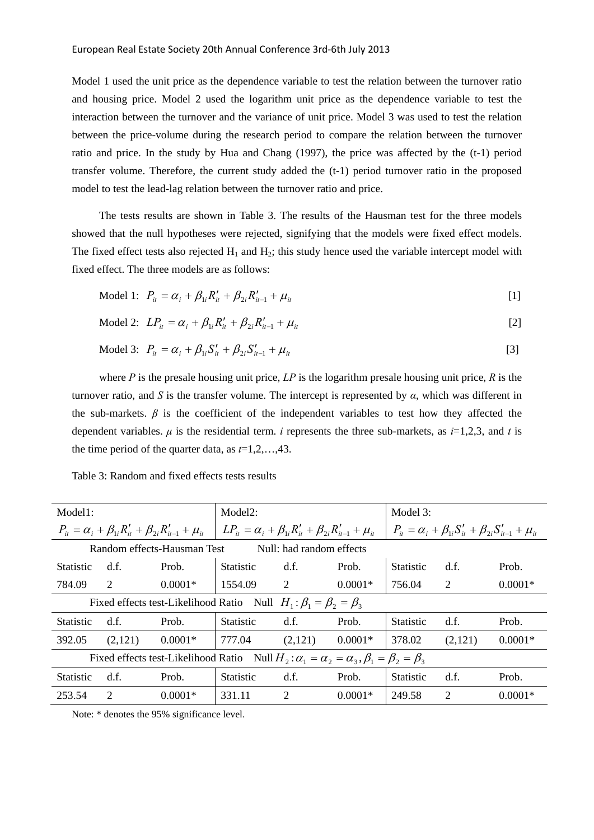Model 1 used the unit price as the dependence variable to test the relation between the turnover ratio and housing price. Model 2 used the logarithm unit price as the dependence variable to test the interaction between the turnover and the variance of unit price. Model 3 was used to test the relation between the price-volume during the research period to compare the relation between the turnover ratio and price. In the study by Hua and Chang (1997), the price was affected by the (t-1) period transfer volume. Therefore, the current study added the (t-1) period turnover ratio in the proposed model to test the lead-lag relation between the turnover ratio and price.

The tests results are shown in Table 3. The results of the Hausman test for the three models showed that the null hypotheses were rejected, signifying that the models were fixed effect models. The fixed effect tests also rejected  $H_1$  and  $H_2$ ; this study hence used the variable intercept model with fixed effect. The three models are as follows:

Model 1: 
$$
P_{it} = \alpha_i + \beta_{1i} R'_{it} + \beta_{2i} R'_{it-1} + \mu_{it}
$$
 [1]

$$
\text{Model 2:} \ \ L P_{it} = \alpha_i + \beta_{1i} R'_{it} + \beta_{2i} R'_{it-1} + \mu_{it} \tag{2}
$$

Model 3: 
$$
P_{it} = \alpha_i + \beta_{1i} S'_{it} + \beta_{2i} S'_{it-1} + \mu_{it}
$$
 [3]

where *P* is the presale housing unit price, *LP* is the logarithm presale housing unit price, *R* is the turnover ratio, and *S* is the transfer volume. The intercept is represented by *α*, which was different in the sub-markets.  $\beta$  is the coefficient of the independent variables to test how they affected the dependent variables. *μ* is the residential term. *i* represents the three sub-markets, as *i*=1,2,3, and *t* is the time period of the quarter data, as *t*=1,2,…,43.

| Model1:                                                                                                        |                                                                            |           | Model <sub>2</sub> :                                                        |                |           | Model 3:                                                                   |         |           |  |  |  |
|----------------------------------------------------------------------------------------------------------------|----------------------------------------------------------------------------|-----------|-----------------------------------------------------------------------------|----------------|-----------|----------------------------------------------------------------------------|---------|-----------|--|--|--|
|                                                                                                                | $P_{it} = \alpha_i + \beta_{1i} R'_{it} + \beta_{2i} R'_{it-1} + \mu_{it}$ |           | $LP_{it} = \alpha_i + \beta_{1i}R'_{it} + \beta_{2i}R'_{it-1} + \mu_{it}$   |                |           | $P_{it} = \alpha_i + \beta_{1i} S'_{it} + \beta_{2i} S'_{it-1} + \mu_{it}$ |         |           |  |  |  |
| Random effects-Hausman Test<br>Null: had random effects                                                        |                                                                            |           |                                                                             |                |           |                                                                            |         |           |  |  |  |
| Statistic                                                                                                      | d.f.                                                                       | Prob.     | <b>Statistic</b>                                                            | d.f.           | Prob.     | <b>Statistic</b>                                                           | d.f.    | Prob.     |  |  |  |
| 784.09                                                                                                         | 2                                                                          | $0.0001*$ | 1554.09                                                                     | $\overline{2}$ | $0.0001*$ | 756.04                                                                     | 2       | $0.0001*$ |  |  |  |
|                                                                                                                |                                                                            |           | Fixed effects test-Likelihood Ratio Null $H_1: \beta_1 = \beta_2 = \beta_3$ |                |           |                                                                            |         |           |  |  |  |
| <b>Statistic</b>                                                                                               | d.f.                                                                       | Prob.     | <b>Statistic</b>                                                            | d.f.           | Prob.     | <b>Statistic</b>                                                           | d.f.    | Prob.     |  |  |  |
| 392.05                                                                                                         | (2,121)                                                                    | $0.0001*$ | 777.04                                                                      | (2,121)        | $0.0001*$ | 378.02                                                                     | (2,121) | $0.0001*$ |  |  |  |
| Fixed effects test-Likelihood Ratio Null $H_2: \alpha_1 = \alpha_2 = \alpha_3$ , $\beta_1 = \beta_2 = \beta_3$ |                                                                            |           |                                                                             |                |           |                                                                            |         |           |  |  |  |
| <b>Statistic</b>                                                                                               | d.f.                                                                       | Prob.     | <b>Statistic</b>                                                            | d.f.           | Prob.     | <b>Statistic</b>                                                           | d.f.    | Prob.     |  |  |  |
| 253.54                                                                                                         | 2                                                                          | $0.0001*$ | 331.11                                                                      | 2              | $0.0001*$ | 249.58                                                                     | 2       | $0.0001*$ |  |  |  |

Table 3: Random and fixed effects tests results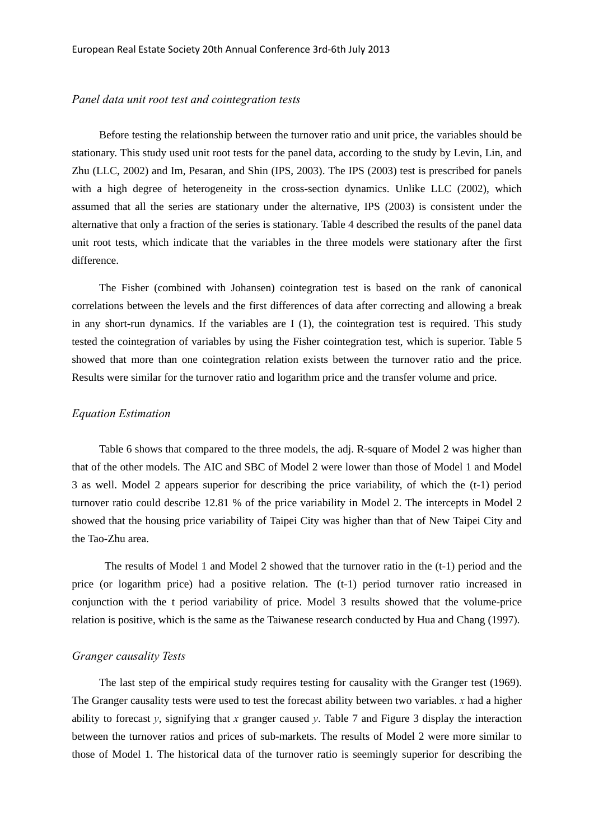#### *Panel data unit root test and cointegration tests*

Before testing the relationship between the turnover ratio and unit price, the variables should be stationary. This study used unit root tests for the panel data, according to the study by Levin, Lin, and Zhu (LLC, 2002) and Im, Pesaran, and Shin (IPS, 2003). The IPS (2003) test is prescribed for panels with a high degree of heterogeneity in the cross-section dynamics. Unlike LLC (2002), which assumed that all the series are stationary under the alternative, IPS (2003) is consistent under the alternative that only a fraction of the series is stationary. Table 4 described the results of the panel data unit root tests, which indicate that the variables in the three models were stationary after the first difference.

The Fisher (combined with Johansen) cointegration test is based on the rank of canonical correlations between the levels and the first differences of data after correcting and allowing a break in any short-run dynamics. If the variables are I (1), the cointegration test is required. This study tested the cointegration of variables by using the Fisher cointegration test, which is superior. Table 5 showed that more than one cointegration relation exists between the turnover ratio and the price. Results were similar for the turnover ratio and logarithm price and the transfer volume and price.

### *Equation Estimation*

Table 6 shows that compared to the three models, the adj. R-square of Model 2 was higher than that of the other models. The AIC and SBC of Model 2 were lower than those of Model 1 and Model 3 as well. Model 2 appears superior for describing the price variability, of which the (t-1) period turnover ratio could describe 12.81 % of the price variability in Model 2. The intercepts in Model 2 showed that the housing price variability of Taipei City was higher than that of New Taipei City and the Tao-Zhu area.

 The results of Model 1 and Model 2 showed that the turnover ratio in the (t-1) period and the price (or logarithm price) had a positive relation. The (t-1) period turnover ratio increased in conjunction with the t period variability of price. Model 3 results showed that the volume-price relation is positive, which is the same as the Taiwanese research conducted by Hua and Chang (1997).

### *Granger causality Tests*

The last step of the empirical study requires testing for causality with the Granger test (1969). The Granger causality tests were used to test the forecast ability between two variables. *x* had a higher ability to forecast  $\gamma$ , signifying that  $\chi$  granger caused  $\gamma$ . Table 7 and Figure 3 display the interaction between the turnover ratios and prices of sub-markets. The results of Model 2 were more similar to those of Model 1. The historical data of the turnover ratio is seemingly superior for describing the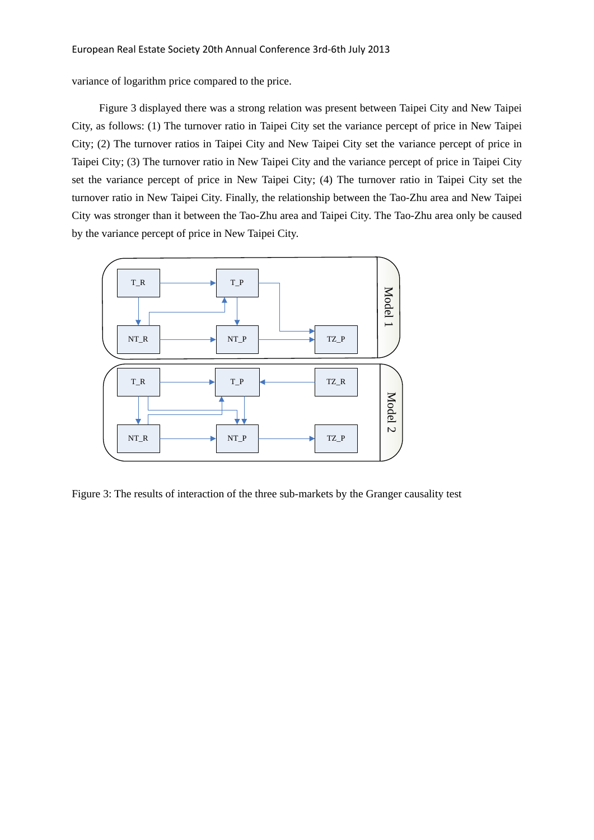variance of logarithm price compared to the price.

Figure 3 displayed there was a strong relation was present between Taipei City and New Taipei City, as follows: (1) The turnover ratio in Taipei City set the variance percept of price in New Taipei City; (2) The turnover ratios in Taipei City and New Taipei City set the variance percept of price in Taipei City; (3) The turnover ratio in New Taipei City and the variance percept of price in Taipei City set the variance percept of price in New Taipei City; (4) The turnover ratio in Taipei City set the turnover ratio in New Taipei City. Finally, the relationship between the Tao-Zhu area and New Taipei City was stronger than it between the Tao-Zhu area and Taipei City. The Tao-Zhu area only be caused by the variance percept of price in New Taipei City.



Figure 3: The results of interaction of the three sub-markets by the Granger causality test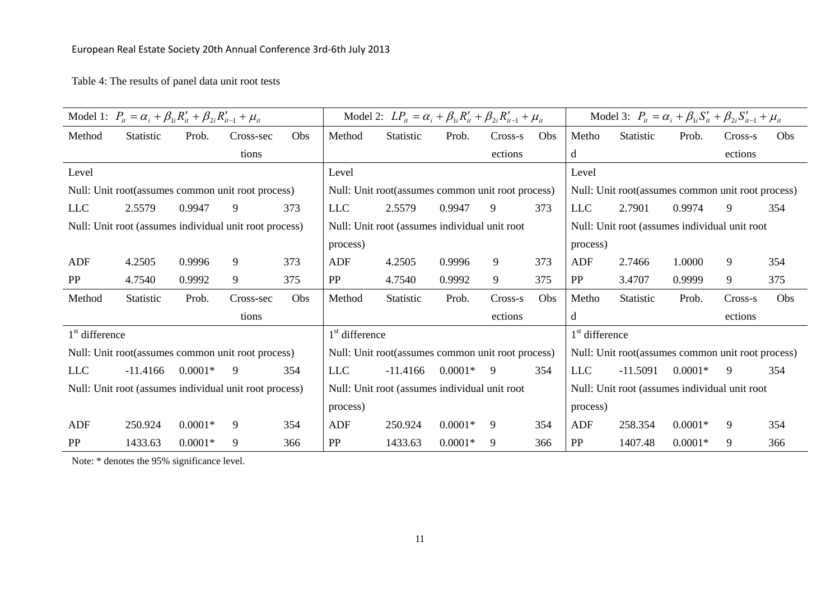# European Real Estate Society 20th Annual Conference 3rd‐6th July 2013

Table 4: The results of panel data unit root tests

|                                                        | Model 1: $P_{it} = \alpha_i + \beta_{1i} R'_{it} + \beta_{2i} R'_{it-1} + \mu_{it}$ |           |           |                                               |                                               | Model 2: $LP_{it} = \alpha_i + \beta_{1i}R'_{it} + \beta_{2i}R'_{it-1} + \mu_{it}$ |                                               |         |     |                                               | Model 3: $P_{ii} = \alpha_i + \beta_{1i} S'_{ii} + \beta_{2i} S'_{ii-1} + \mu_{ii}$ |           |         |     |
|--------------------------------------------------------|-------------------------------------------------------------------------------------|-----------|-----------|-----------------------------------------------|-----------------------------------------------|------------------------------------------------------------------------------------|-----------------------------------------------|---------|-----|-----------------------------------------------|-------------------------------------------------------------------------------------|-----------|---------|-----|
| Method                                                 | <b>Statistic</b>                                                                    | Prob.     | Cross-sec | Obs                                           | Method                                        | Statistic                                                                          | Prob.                                         | Cross-s | Obs | Metho                                         | <b>Statistic</b>                                                                    | Prob.     | Cross-s | Obs |
|                                                        |                                                                                     |           | tions     |                                               |                                               |                                                                                    |                                               | ections |     | d                                             |                                                                                     |           | ections |     |
| Level                                                  |                                                                                     |           |           |                                               | Level                                         |                                                                                    |                                               |         |     | Level                                         |                                                                                     |           |         |     |
|                                                        | Null: Unit root (assumes common unit root process)                                  |           |           |                                               |                                               | Null: Unit root(assumes common unit root process)                                  |                                               |         |     |                                               | Null: Unit root(assumes common unit root process)                                   |           |         |     |
| <b>LLC</b>                                             | 2.5579                                                                              | 0.9947    | 9         | 373                                           | <b>LLC</b>                                    | 2.5579                                                                             | 0.9947                                        | 9       | 373 | <b>LLC</b>                                    | 2.7901                                                                              | 0.9974    | 9       | 354 |
|                                                        | Null: Unit root (assumes individual unit root process)                              |           |           |                                               | Null: Unit root (assumes individual unit root |                                                                                    |                                               |         |     | Null: Unit root (assumes individual unit root |                                                                                     |           |         |     |
|                                                        |                                                                                     |           |           |                                               | process)                                      |                                                                                    |                                               |         |     | process)                                      |                                                                                     |           |         |     |
| ADF                                                    | 4.2505                                                                              | 0.9996    | 9         | 373                                           | ADF                                           | 4.2505                                                                             | 0.9996                                        | 9       | 373 | ADF                                           | 2.7466                                                                              | 1.0000    | 9       | 354 |
| PP                                                     | 4.7540                                                                              | 0.9992    | 9         | 375                                           | PP                                            | 4.7540                                                                             | 0.9992                                        | 9       | 375 | PP                                            | 3.4707                                                                              | 0.9999    | 9       | 375 |
| Method                                                 | Statistic                                                                           | Prob.     | Cross-sec | Obs                                           | Method                                        | Statistic                                                                          | Prob.                                         | Cross-s | Obs | Metho                                         | Statistic                                                                           | Prob.     | Cross-s | Obs |
|                                                        |                                                                                     |           | tions     |                                               |                                               |                                                                                    |                                               | ections |     | d                                             |                                                                                     |           | ections |     |
| $1st$ difference                                       |                                                                                     |           |           |                                               | $1st$ difference                              |                                                                                    |                                               |         |     | $1st$ difference                              |                                                                                     |           |         |     |
|                                                        | Null: Unit root(assumes common unit root process)                                   |           |           |                                               |                                               | Null: Unit root(assumes common unit root process)                                  |                                               |         |     |                                               | Null: Unit root(assumes common unit root process)                                   |           |         |     |
| <b>LLC</b>                                             | $-11.4166$                                                                          | $0.0001*$ | 9         | 354                                           | <b>LLC</b>                                    | $-11.4166$                                                                         | $0.0001*$                                     | -9      | 354 | <b>LLC</b>                                    | $-11.5091$                                                                          | $0.0001*$ | 9       | 354 |
| Null: Unit root (assumes individual unit root process) |                                                                                     |           |           | Null: Unit root (assumes individual unit root |                                               |                                                                                    | Null: Unit root (assumes individual unit root |         |     |                                               |                                                                                     |           |         |     |
|                                                        |                                                                                     |           |           |                                               | process)                                      |                                                                                    |                                               |         |     | process)                                      |                                                                                     |           |         |     |
| ADF                                                    | 250.924                                                                             | $0.0001*$ | 9         | 354                                           | <b>ADF</b>                                    | 250.924                                                                            | $0.0001*$                                     | 9       | 354 | <b>ADF</b>                                    | 258.354                                                                             | $0.0001*$ | 9       | 354 |
| PP                                                     | 1433.63                                                                             | $0.0001*$ | 9         | 366                                           | PP                                            | 1433.63                                                                            | $0.0001*$                                     | 9       | 366 | PP                                            | 1407.48                                                                             | $0.0001*$ | 9       | 366 |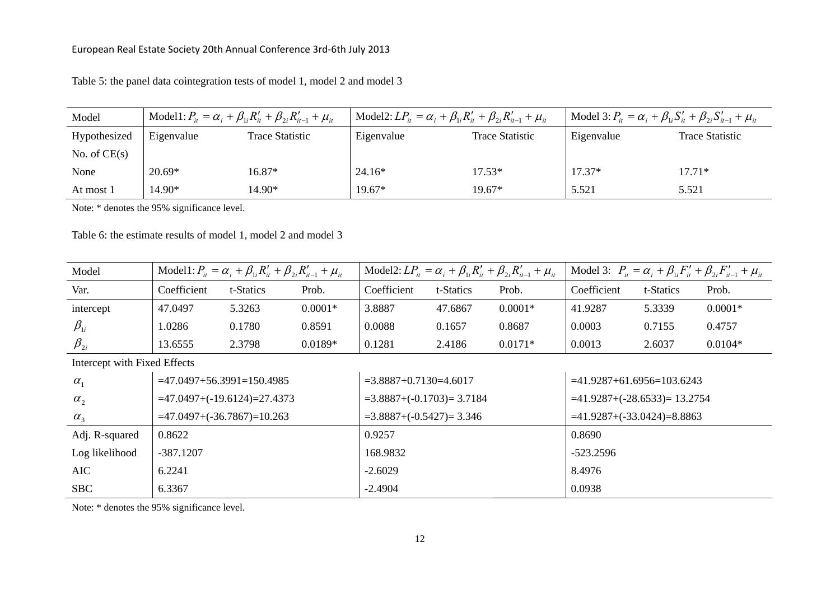| Model          | Model1: $P_{ii} = \alpha_i + \beta_{1i}R'_{ii} + \beta_{2i}R'_{ii-1} + \mu_{ii}$ |                 | Model2: $LP_{it} = \alpha_i + \beta_{1i}R'_{it} + \beta_{2i}R'_{it-1} + \mu_{it}$ |                        | Model 3: $P_{it} = \alpha_i + \beta_{1i} S'_{it} + \beta_{2i} S'_{it-1} + \mu_{it}$ |                 |
|----------------|----------------------------------------------------------------------------------|-----------------|-----------------------------------------------------------------------------------|------------------------|-------------------------------------------------------------------------------------|-----------------|
| Hypothesized   | Eigenvalue                                                                       | Trace Statistic | Eigenvalue                                                                        | <b>Trace Statistic</b> | Eigenvalue                                                                          | Trace Statistic |
| No. of $CE(s)$ |                                                                                  |                 |                                                                                   |                        |                                                                                     |                 |
| None           | $20.69*$                                                                         | 16.87*          | $24.16*$                                                                          | 17.53*                 | $17.37*$                                                                            | $17.71*$        |
| At most 1      | 14.90*                                                                           | 14.90*          | $19.67*$                                                                          | 19.67*                 | 5.521                                                                               | 5.521           |

Table 5: the panel data cointegration tests of model 1, model 2 and model 3

Note: \* denotes the 95% significance level.

Table 6: the estimate results of model 1, model 2 and model 3

| Model                        |                               | Model1: $P_{ii} = \alpha_i + \beta_{1i} R'_{ii} + \beta_{2i} R'_{ii-1} + \mu_{ii}$ |           |                           |           | Model2: $LP_{it} = \alpha_i + \beta_{1i}R'_{it} + \beta_{2i}R'_{it-1} + \mu_{it}$ | Model 3: $P_{it} = \alpha_i + \beta_{1i} F'_{it} + \beta_{2i} F'_{it-1} + \mu_{it}$ |           |           |
|------------------------------|-------------------------------|------------------------------------------------------------------------------------|-----------|---------------------------|-----------|-----------------------------------------------------------------------------------|-------------------------------------------------------------------------------------|-----------|-----------|
| Var.                         | Coefficient                   | t-Statics                                                                          | Prob.     | Coefficient               | t-Statics | Prob.                                                                             | Coefficient                                                                         | t-Statics | Prob.     |
| intercept                    | 47.0497                       | 5.3263                                                                             | $0.0001*$ | 3.8887                    | 47.6867   | $0.0001*$                                                                         | 41.9287                                                                             | 5.3339    | $0.0001*$ |
| $\beta_{1i}$                 | 1.0286                        | 0.1780                                                                             | 0.8591    | 0.0088                    | 0.1657    | 0.8687                                                                            | 0.0003                                                                              | 0.7155    | 0.4757    |
| $\beta_{2i}$                 | 13.6555                       | 2.3798                                                                             | $0.0189*$ | 0.1281                    | 2.4186    | $0.0171*$                                                                         | 0.0013                                                                              | 2.6037    | $0.0104*$ |
| Intercept with Fixed Effects |                               |                                                                                    |           |                           |           |                                                                                   |                                                                                     |           |           |
| $\alpha_{1}$                 | $=47.0497+56.3991=150.4985$   |                                                                                    |           | $=3.8887+0.7130=4.6017$   |           |                                                                                   | $=41.9287+61.6956=103.6243$                                                         |           |           |
| $\alpha_{2}$                 | $=47.0497+(-19.6124)=27.4373$ |                                                                                    |           | $=3.8887+(0.1703)=3.7184$ |           |                                                                                   | $=41.9287+(-28.6533)=13.2754$                                                       |           |           |
| $\alpha_{3}$                 |                               | $=47.0497 + (-36.7867) = 10.263$                                                   |           | $=3.8887+(0.5427)=3.346$  |           |                                                                                   | $=41.9287+(-33.0424)=8.8863$                                                        |           |           |
| Adj. R-squared               | 0.8622                        |                                                                                    |           | 0.9257                    |           |                                                                                   | 0.8690                                                                              |           |           |
| Log likelihood               | $-387.1207$                   |                                                                                    |           | 168.9832                  |           |                                                                                   | $-523.2596$                                                                         |           |           |
| <b>AIC</b>                   | 6.2241                        |                                                                                    |           | $-2.6029$                 |           |                                                                                   | 8.4976                                                                              |           |           |
| <b>SBC</b>                   | 6.3367                        |                                                                                    |           | $-2.4904$                 |           |                                                                                   | 0.0938                                                                              |           |           |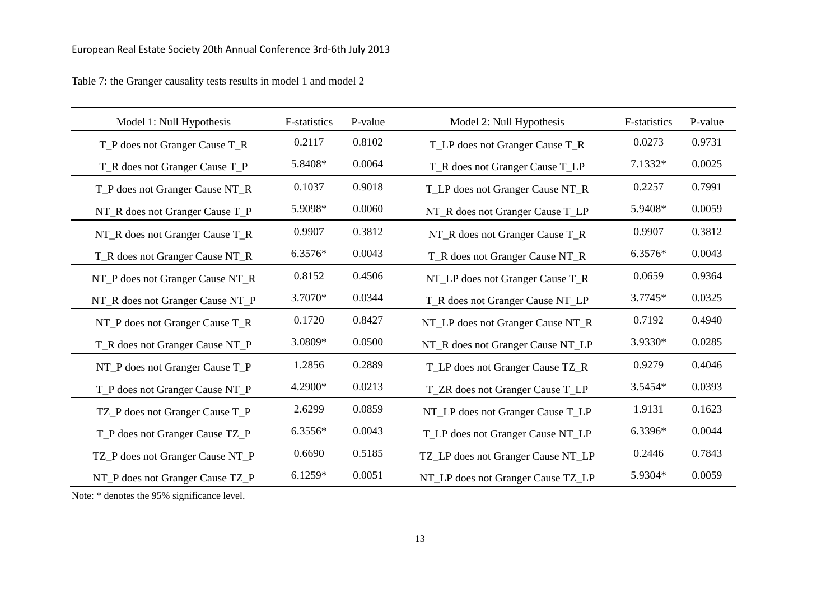| Model 1: Null Hypothesis         | F-statistics | P-value | Model 2: Null Hypothesis           | <b>F-statistics</b> | P-value |
|----------------------------------|--------------|---------|------------------------------------|---------------------|---------|
| T_P does not Granger Cause T_R   | 0.2117       | 0.8102  | T_LP does not Granger Cause T_R    | 0.0273              | 0.9731  |
| T_R does not Granger Cause T_P   | 5.8408*      | 0.0064  | T_R does not Granger Cause T_LP    | 7.1332*             | 0.0025  |
| T_P does not Granger Cause NT_R  | 0.1037       | 0.9018  | T_LP does not Granger Cause NT_R   | 0.2257              | 0.7991  |
| NT_R does not Granger Cause T_P  | 5.9098*      | 0.0060  | NT_R does not Granger Cause T_LP   | 5.9408*             | 0.0059  |
| NT_R does not Granger Cause T_R  | 0.9907       | 0.3812  | NT_R does not Granger Cause T_R    | 0.9907              | 0.3812  |
| T_R does not Granger Cause NT_R  | 6.3576*      | 0.0043  | T_R does not Granger Cause NT_R    | 6.3576*             | 0.0043  |
| NT_P does not Granger Cause NT_R | 0.8152       | 0.4506  | NT_LP does not Granger Cause T_R   | 0.0659              | 0.9364  |
| NT_R does not Granger Cause NT_P | 3.7070*      | 0.0344  | T_R does not Granger Cause NT_LP   | 3.7745*             | 0.0325  |
| NT_P does not Granger Cause T_R  | 0.1720       | 0.8427  | NT_LP does not Granger Cause NT_R  | 0.7192              | 0.4940  |
| T_R does not Granger Cause NT_P  | 3.0809*      | 0.0500  | NT_R does not Granger Cause NT_LP  | 3.9330*             | 0.0285  |
| NT_P does not Granger Cause T_P  | 1.2856       | 0.2889  | T_LP does not Granger Cause TZ_R   | 0.9279              | 0.4046  |
| T_P does not Granger Cause NT_P  | 4.2900*      | 0.0213  | T_ZR does not Granger Cause T_LP   | 3.5454*             | 0.0393  |
| TZ_P does not Granger Cause T_P  | 2.6299       | 0.0859  | NT_LP does not Granger Cause T_LP  | 1.9131              | 0.1623  |
| T_P does not Granger Cause TZ_P  | 6.3556*      | 0.0043  | T_LP does not Granger Cause NT_LP  | 6.3396*             | 0.0044  |
| TZ_P does not Granger Cause NT_P | 0.6690       | 0.5185  | TZ_LP does not Granger Cause NT_LP | 0.2446              | 0.7843  |
| NT_P does not Granger Cause TZ_P | $6.1259*$    | 0.0051  | NT_LP does not Granger Cause TZ_LP | 5.9304*             | 0.0059  |

Table 7: the Granger causality tests results in model 1 and model 2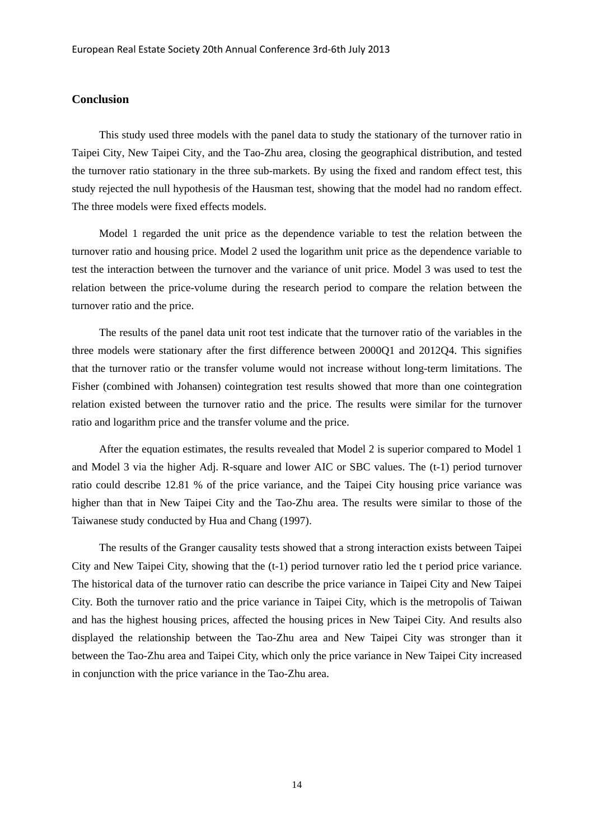### **Conclusion**

This study used three models with the panel data to study the stationary of the turnover ratio in Taipei City, New Taipei City, and the Tao-Zhu area, closing the geographical distribution, and tested the turnover ratio stationary in the three sub-markets. By using the fixed and random effect test, this study rejected the null hypothesis of the Hausman test, showing that the model had no random effect. The three models were fixed effects models.

Model 1 regarded the unit price as the dependence variable to test the relation between the turnover ratio and housing price. Model 2 used the logarithm unit price as the dependence variable to test the interaction between the turnover and the variance of unit price. Model 3 was used to test the relation between the price-volume during the research period to compare the relation between the turnover ratio and the price.

The results of the panel data unit root test indicate that the turnover ratio of the variables in the three models were stationary after the first difference between 2000Q1 and 2012Q4. This signifies that the turnover ratio or the transfer volume would not increase without long-term limitations. The Fisher (combined with Johansen) cointegration test results showed that more than one cointegration relation existed between the turnover ratio and the price. The results were similar for the turnover ratio and logarithm price and the transfer volume and the price.

After the equation estimates, the results revealed that Model 2 is superior compared to Model 1 and Model 3 via the higher Adj. R-square and lower AIC or SBC values. The (t-1) period turnover ratio could describe 12.81 % of the price variance, and the Taipei City housing price variance was higher than that in New Taipei City and the Tao-Zhu area. The results were similar to those of the Taiwanese study conducted by Hua and Chang (1997).

The results of the Granger causality tests showed that a strong interaction exists between Taipei City and New Taipei City, showing that the (t-1) period turnover ratio led the t period price variance. The historical data of the turnover ratio can describe the price variance in Taipei City and New Taipei City. Both the turnover ratio and the price variance in Taipei City, which is the metropolis of Taiwan and has the highest housing prices, affected the housing prices in New Taipei City. And results also displayed the relationship between the Tao-Zhu area and New Taipei City was stronger than it between the Tao-Zhu area and Taipei City, which only the price variance in New Taipei City increased in conjunction with the price variance in the Tao-Zhu area.